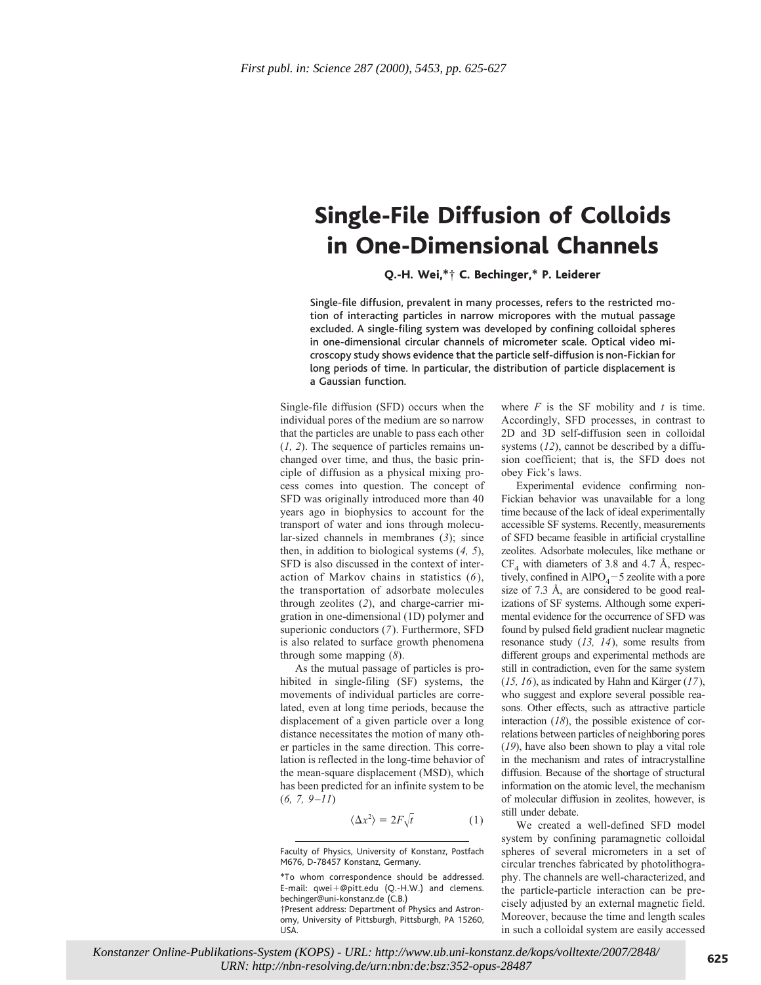## Single-File Diffusion of Colloids in One-Dimensional Channels

Q.-H. Wei,\*† C. Bechinger,\* P. Leiderer

Single-file diffusion, prevalent in many processes, refers to the restricted motion of interacting particles in narrow micropores with the mutual passage excluded. A single-filing system was developed by confining colloidal spheres in one-dimensional circular channels of micrometer scale. Optical video microscopy study shows evidence that the particle self-diffusion is non-Fickian for long periods of time. In particular, the distribution of particle displacement is a Gaussian function.

Single-file diffusion (SFD) occurs when the individual pores of the medium are so narrow that the particles are unable to pass each other (*1, 2*). The sequence of particles remains unchanged over time, and thus, the basic principle of diffusion as a physical mixing process comes into question. The concept of SFD was originally introduced more than 40 years ago in biophysics to account for the transport of water and ions through molecular-sized channels in membranes (*3*); since then, in addition to biological systems (*4, 5*), SFD is also discussed in the context of interaction of Markov chains in statistics (*6*), the transportation of adsorbate molecules through zeolites (*2*), and charge-carrier migration in one-dimensional (1D) polymer and superionic conductors (*7*). Furthermore, SFD is also related to surface growth phenomena through some mapping (*8*).

As the mutual passage of particles is prohibited in single-filing (SF) systems, the movements of individual particles are correlated, even at long time periods, because the displacement of a given particle over a long distance necessitates the motion of many other particles in the same direction. This correlation is reflected in the long-time behavior of the mean-square displacement (MSD), which has been predicted for an infinite system to be (*6, 7, 9–11*)

$$
\langle \Delta x^2 \rangle = 2F \sqrt{t} \tag{1}
$$

\*To whom correspondence should be addressed. E-mail:  $qwei+@pitt.edu$  (Q.-H.W.) and clemens. bechinger@uni-konstanz.de (C.B.)

†Present address: Department of Physics and Astronomy, University of Pittsburgh, Pittsburgh, PA 15260, USA.

where *F* is the SF mobility and *t* is time. Accordingly, SFD processes, in contrast to 2D and 3D self-diffusion seen in colloidal systems (*12*), cannot be described by a diffusion coefficient; that is, the SFD does not obey Fick's laws.

Experimental evidence confirming non-Fickian behavior was unavailable for a long time because of the lack of ideal experimentally accessible SF systems. Recently, measurements of SFD became feasible in artificial crystalline zeolites. Adsorbate molecules, like methane or  $CF<sub>4</sub>$  with diameters of 3.8 and 4.7 Å, respectively, confined in  $AIPO<sub>4</sub>-5$  zeolite with a pore size of 7.3 Å, are considered to be good realizations of SF systems. Although some experimental evidence for the occurrence of SFD was found by pulsed field gradient nuclear magnetic resonance study (*13, 14*), some results from different groups and experimental methods are still in contradiction, even for the same system  $(15, 16)$ , as indicated by Hahn and Kärger  $(17)$ , who suggest and explore several possible reasons. Other effects, such as attractive particle interaction (*18*), the possible existence of correlations between particles of neighboring pores (*19*), have also been shown to play a vital role in the mechanism and rates of intracrystalline diffusion. Because of the shortage of structural information on the atomic level, the mechanism of molecular diffusion in zeolites, however, is still under debate.

We created a well-defined SFD model system by confining paramagnetic colloidal spheres of several micrometers in a set of circular trenches fabricated by photolithography. The channels are well-characterized, and the particle-particle interaction can be precisely adjusted by an external magnetic field. Moreover, because the time and length scales in such a colloidal system are easily accessed

Faculty of Physics, University of Konstanz, Postfach M676, D-78457 Konstanz, Germany.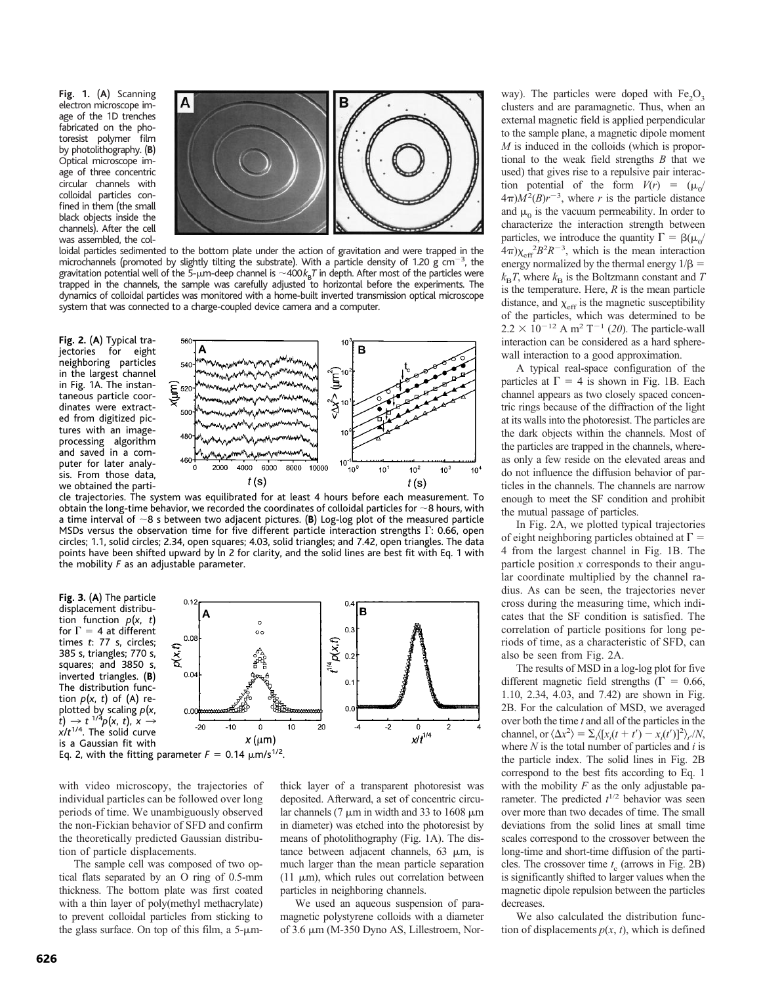**Fig. 1.** (**A**) Scanning electron microscope image of the 1D trenches fabricated on the photoresist polymer film by photolithography. (**B**) Optical microscope image of three concentric circular channels with colloidal particles confined in them (the small black objects inside the channels). After the cell was assembled, the col-



loidal particles sedimented to the bottom plate under the action of gravitation and were trapped in the microchannels (promoted by slightly tilting the substrate). With a particle density of 1.20 g  $\rm cm^{-3}$ , the gravitation potential well of the 5-µm-deep channel is  $\sim$ 400 $k_{\rm B}$ *T* in depth. After most of the particles were trapped in the channels, the sample was carefully adjusted to horizontal before the experiments. The dynamics of colloidal particles was monitored with a home-built inverted transmission optical microscope system that was connected to a charge-coupled device camera and a computer.

**Fig. 2.** (**A**) Typical trajectories for eight neighboring particles in the largest channel in Fig. 1A. The instantaneous particle coordinates were extracted from digitized pictures with an imageprocessing algorithm and saved in a computer for later analysis. From those data, we obtained the parti-



cle trajectories. The system was equilibrated for at least 4 hours before each measurement. To obtain the long-time behavior, we recorded the coordinates of colloidal particles for  $\sim$ 8 hours, with a time interval of  $\sim$ 8 s between two adjacent pictures. (**B**) Log-log plot of the measured particle MSDs versus the observation time for five different particle interaction strengths  $\Gamma$ : 0.66, open circles; 1.1, solid circles; 2.34, open squares; 4.03, solid triangles; and 7.42, open triangles. The data points have been shifted upward by ln 2 for clarity, and the solid lines are best fit with Eq. 1 with the mobility *F* as an adjustable parameter.

**Fig. 3.** (**A**) The particle displacement distribution function *p*(*x*, *t*) for  $\Gamma = 4$  at different times *t*: 77 s, circles; 385 s, triangles; 770 s, squares; and 3850 s, inverted triangles. (**B**) The distribution function  $p(x, t)$  of (A) re $p$ lotted by scaling  $p(x, t) \rightarrow t^{-1/4}p(x, t)$ ,  $x \rightarrow t^{-1/4}p(x, t)$ *x*/*t* 1/4. The solid curve is a Gaussian fit with



with video microscopy, the trajectories of individual particles can be followed over long periods of time. We unambiguously observed the non-Fickian behavior of SFD and confirm the theoretically predicted Gaussian distribution of particle displacements.

The sample cell was composed of two optical flats separated by an O ring of 0.5-mm thickness. The bottom plate was first coated with a thin layer of poly(methyl methacrylate) to prevent colloidal particles from sticking to the glass surface. On top of this film, a  $5-\mu m$ -

thick layer of a transparent photoresist was deposited. Afterward, a set of concentric circular channels (7  $\mu$ m in width and 33 to 1608  $\mu$ m in diameter) was etched into the photoresist by means of photolithography (Fig. 1A). The distance between adjacent channels,  $63 \mu m$ , is much larger than the mean particle separation (11  $\mu$ m), which rules out correlation between particles in neighboring channels.

We used an aqueous suspension of paramagnetic polystyrene colloids with a diameter of 3.6 mm (M-350 Dyno AS, Lillestroem, Norway). The particles were doped with  $Fe<sub>2</sub>O<sub>3</sub>$ clusters and are paramagnetic. Thus, when an external magnetic field is applied perpendicular to the sample plane, a magnetic dipole moment *M* is induced in the colloids (which is proportional to the weak field strengths *B* that we used) that gives rise to a repulsive pair interaction potential of the form  $V(r) = (\mu_0/r)$  $4\pi$ ) $M^2(B)r^{-3}$ , where *r* is the particle distance and  $\mu_0$  is the vacuum permeability. In order to characterize the interaction strength between particles, we introduce the quantity  $\Gamma = \beta(\mu_0/\mu_0)$  $(4\pi)\chi_{\text{eff}}^2 B^2 R^{-3}$ , which is the mean interaction energy normalized by the thermal energy  $1/\beta =$  $k_B T$ , where  $k_B$  is the Boltzmann constant and *T* is the temperature. Here, *R* is the mean particle distance, and  $\chi_{\text{eff}}$  is the magnetic susceptibility of the particles, which was determined to be  $2.2 \times 10^{-12}$  A m<sup>2</sup> T<sup>-1</sup> (20). The particle-wall interaction can be considered as a hard spherewall interaction to a good approximation.

A typical real-space configuration of the particles at  $\Gamma = 4$  is shown in Fig. 1B. Each channel appears as two closely spaced concentric rings because of the diffraction of the light at its walls into the photoresist. The particles are the dark objects within the channels. Most of the particles are trapped in the channels, whereas only a few reside on the elevated areas and do not influence the diffusion behavior of particles in the channels. The channels are narrow enough to meet the SF condition and prohibit the mutual passage of particles.

In Fig. 2A, we plotted typical trajectories of eight neighboring particles obtained at  $\Gamma =$ 4 from the largest channel in Fig. 1B. The particle position *x* corresponds to their angular coordinate multiplied by the channel radius. As can be seen, the trajectories never cross during the measuring time, which indicates that the SF condition is satisfied. The correlation of particle positions for long periods of time, as a characteristic of SFD, can also be seen from Fig. 2A.

The results of MSD in a log-log plot for five different magnetic field strengths ( $\Gamma = 0.66$ , 1.10, 2.34, 4.03, and 7.42) are shown in Fig. 2B. For the calculation of MSD, we averaged over both the time *t* and all of the particles in the channel, or  $\langle \Delta x^2 \rangle = \sum_i \langle [x_i(t + t') - x_i(t')]^2 \rangle_t / N$ , where *N* is the total number of particles and *i* is the particle index. The solid lines in Fig. 2B correspond to the best fits according to Eq. 1 with the mobility *F* as the only adjustable parameter. The predicted  $t^{1/2}$  behavior was seen over more than two decades of time. The small deviations from the solid lines at small time scales correspond to the crossover between the long-time and short-time diffusion of the particles. The crossover time *t* <sup>c</sup> (arrows in Fig. 2B) is significantly shifted to larger values when the magnetic dipole repulsion between the particles decreases.

We also calculated the distribution function of displacements  $p(x, t)$ , which is defined